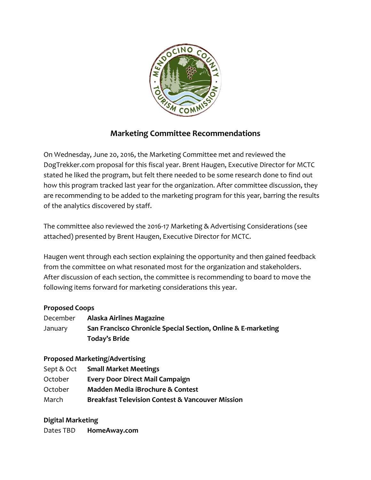

# **Marketing Committee Recommendations**

On Wednesday, June 20, 2016, the Marketing Committee met and reviewed the DogTrekker.com proposal for this fiscal year. Brent Haugen, Executive Director for MCTC stated he liked the program, but felt there needed to be some research done to find out how this program tracked last year for the organization. After committee discussion, they are recommending to be added to the marketing program for this year, barring the results of the analytics discovered by staff.

The committee also reviewed the 2016-17 Marketing & Advertising Considerations (see attached) presented by Brent Haugen, Executive Director for MCTC.

Haugen went through each section explaining the opportunity and then gained feedback from the committee on what resonated most for the organization and stakeholders. After discussion of each section, the committee is recommending to board to move the following items forward for marketing considerations this year.

### **Proposed Coops**

| December | Alaska Airlines Magazine                                      |
|----------|---------------------------------------------------------------|
| January  | San Francisco Chronicle Special Section, Online & E-marketing |
|          | Today's Bride                                                 |

### **Proposed Marketing/Advertising**

| Sept & Oct | <b>Small Market Meetings</b>                                |
|------------|-------------------------------------------------------------|
| October    | <b>Every Door Direct Mail Campaign</b>                      |
| October    | <b>Madden Media iBrochure &amp; Contest</b>                 |
| March      | <b>Breakfast Television Contest &amp; Vancouver Mission</b> |
|            |                                                             |

### **Digital Marketing**

Dates TBD **HomeAway.com**